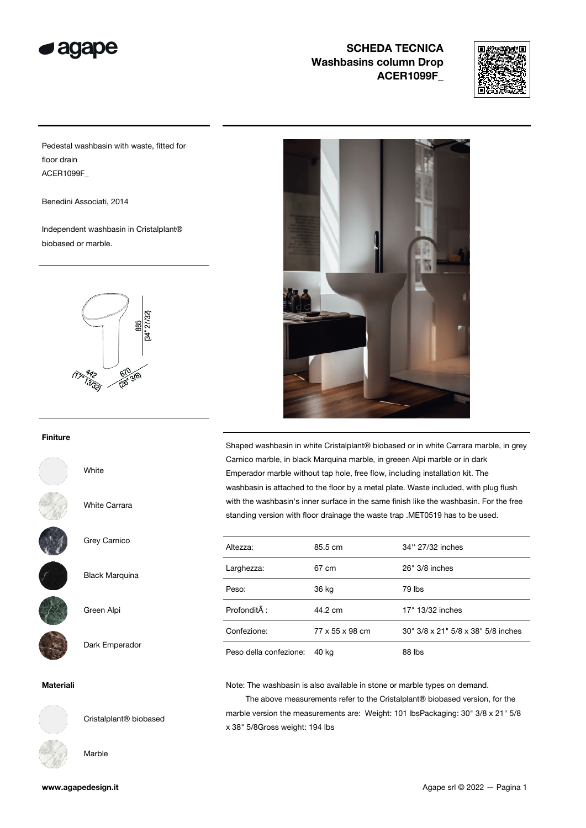

# SCHEDA TECNICA Washbasins column Drop ACER1099F\_



Pedestal washbasin with waste, fitted for floor drain ACER1099F\_

Benedini Associati, 2014

Independent washbasin in Cristalplant® biobased or marble.



#### Finiture

White

White Carrara



Grey Carnico



Green Alpi

Dark Emperador

Black Marquina

### Materiali



Cristalplant® biobased

Marble



Shaped washbasin in white Cristalplant® biobased or in white Carrara marble, in grey Carnico marble, in black Marquina marble, in greeen Alpi marble or in dark Emperador marble without tap hole, free flow, including installation kit. The washbasin is attached to the floor by a metal plate. Waste included, with plug flush with the washbasin's inner surface in the same finish like the washbasin. For the free standing version with floor drainage the waste trap .MET0519 has to be used.

| Altezza:               | 85.5 cm         | 34" 27/32 inches                   |  |
|------------------------|-----------------|------------------------------------|--|
| Larghezza:             | 67 cm           | 26" 3/8 inches                     |  |
| Peso:                  | 36 kg           | 79 lbs                             |  |
| Profondità :           | 44.2 cm         | 17" 13/32 inches                   |  |
| Confezione:            | 77 x 55 x 98 cm | 30" 3/8 x 21" 5/8 x 38" 5/8 inches |  |
| Peso della confezione: | 40 kg           | 88 lbs                             |  |

Note: The washbasin is also available in stone or marble types on demand.

 The above measurements refer to the Cristalplant® biobased version, for the marble version the measurements are: Weight: 101 lbsPackaging: 30" 3/8 x 21" 5/8 x 38" 5/8Gross weight: 194 lbs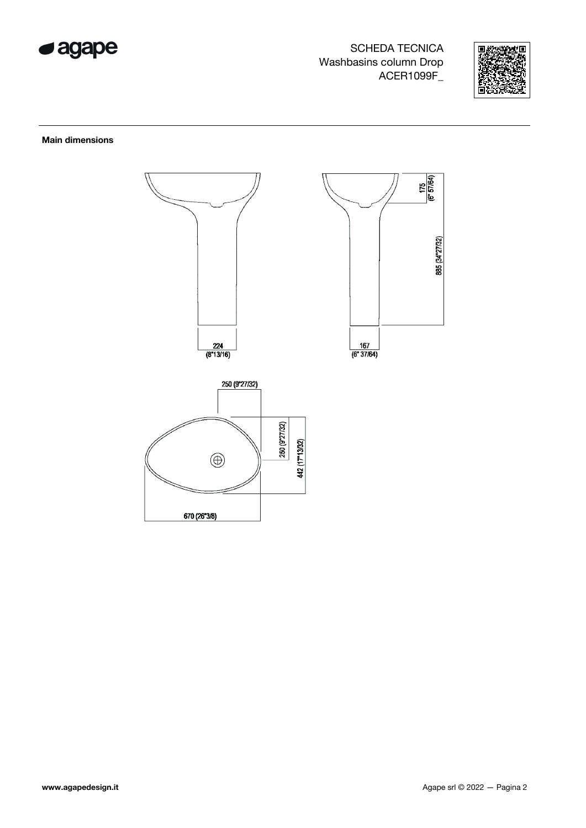

SCHEDA TECNICA Washbasins column Drop ACER1099F\_



### Main dimensions